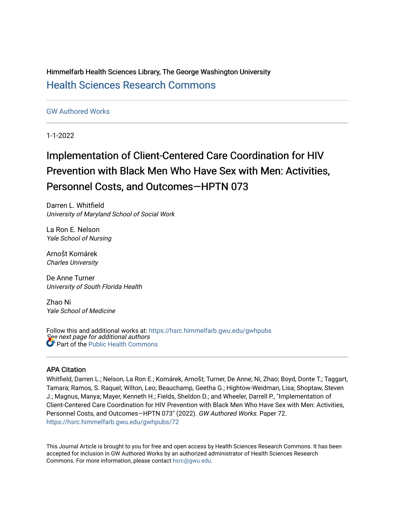Himmelfarb Health Sciences Library, The George Washington University [Health Sciences Research Commons](https://hsrc.himmelfarb.gwu.edu/) 

### [GW Authored Works](https://hsrc.himmelfarb.gwu.edu/gwhpubs)

1-1-2022

# Implementation of Client-Centered Care Coordination for HIV Prevention with Black Men Who Have Sex with Men: Activities, Personnel Costs, and Outcomes—HPTN 073

Darren L. Whitfield University of Maryland School of Social Work

La Ron E. Nelson Yale School of Nursing

Arnošt Komárek Charles University

De Anne Turner University of South Florida Health

Zhao Ni Yale School of Medicine

See next page for additional authors Follow this and additional works at: [https://hsrc.himmelfarb.gwu.edu/gwhpubs](https://hsrc.himmelfarb.gwu.edu/gwhpubs?utm_source=hsrc.himmelfarb.gwu.edu%2Fgwhpubs%2F72&utm_medium=PDF&utm_campaign=PDFCoverPages) **C** Part of the Public Health Commons

## APA Citation

Whitfield, Darren L.; Nelson, La Ron E.; Komárek, Arnošt; Turner, De Anne; Ni, Zhao; Boyd, Donte T.; Taggart, Tamara; Ramos, S. Raquel; Wilton, Leo; Beauchamp, Geetha G.; Hightow-Weidman, Lisa; Shoptaw, Steven J.; Magnus, Manya; Mayer, Kenneth H.; Fields, Sheldon D.; and Wheeler, Darrell P., "Implementation of Client-Centered Care Coordination for HIV Prevention with Black Men Who Have Sex with Men: Activities, Personnel Costs, and Outcomes—HPTN 073" (2022). GW Authored Works. Paper 72. [https://hsrc.himmelfarb.gwu.edu/gwhpubs/72](https://hsrc.himmelfarb.gwu.edu/gwhpubs/72?utm_source=hsrc.himmelfarb.gwu.edu%2Fgwhpubs%2F72&utm_medium=PDF&utm_campaign=PDFCoverPages) 

This Journal Article is brought to you for free and open access by Health Sciences Research Commons. It has been accepted for inclusion in GW Authored Works by an authorized administrator of Health Sciences Research Commons. For more information, please contact [hsrc@gwu.edu](mailto:hsrc@gwu.edu).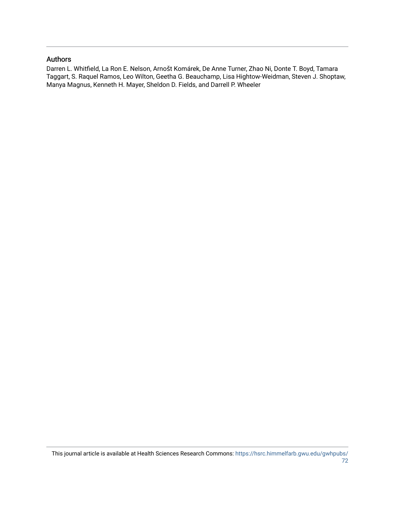## Authors

Darren L. Whitfield, La Ron E. Nelson, Arnošt Komárek, De Anne Turner, Zhao Ni, Donte T. Boyd, Tamara Taggart, S. Raquel Ramos, Leo Wilton, Geetha G. Beauchamp, Lisa Hightow-Weidman, Steven J. Shoptaw, Manya Magnus, Kenneth H. Mayer, Sheldon D. Fields, and Darrell P. Wheeler

This journal article is available at Health Sciences Research Commons: [https://hsrc.himmelfarb.gwu.edu/gwhpubs/](https://hsrc.himmelfarb.gwu.edu/gwhpubs/72) [72](https://hsrc.himmelfarb.gwu.edu/gwhpubs/72)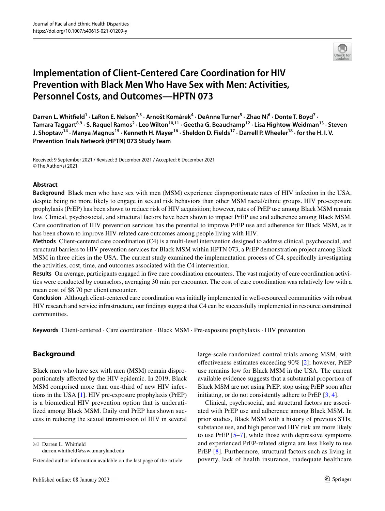

# **Implementation of Client‑Centered Care Coordination for HIV Prevention with Black Men Who Have Sex with Men: Activities, Personnel Costs, and Outcomes—HPTN 073**

Darren L. Whitfield<sup>1</sup> · LaRon E. Nelson<sup>2,3</sup> · Arnošt Komárek<sup>4</sup> · DeAnne Turner<sup>5</sup> · Zhao Ni<sup>6</sup> · Donte T. Boyd<sup>7</sup> · Tamara Taggart<sup>8,9</sup> · S. Raquel Ramos<sup>2</sup> · Leo Wilton<sup>10,11</sup> · Geetha G. Beauchamp<sup>12</sup> · Lisa Hightow-Weidman<sup>13</sup> · Steven **J. Shoptaw14 · Manya Magnus15 · Kenneth H. Mayer16 · Sheldon D. Fields17 · Darrell P. Wheeler18 · for the H. I. V. Prevention Trials Network (HPTN) 073 Study Team**

Received: 9 September 2021 / Revised: 3 December 2021 / Accepted: 6 December 2021 © The Author(s) 2021

#### **Abstract**

**Background** Black men who have sex with men (MSM) experience disproportionate rates of HIV infection in the USA, despite being no more likely to engage in sexual risk behaviors than other MSM racial/ethnic groups. HIV pre-exposure prophylaxis (PrEP) has been shown to reduce risk of HIV acquisition; however, rates of PrEP use among Black MSM remain low. Clinical, psychosocial, and structural factors have been shown to impact PrEP use and adherence among Black MSM. Care coordination of HIV prevention services has the potential to improve PrEP use and adherence for Black MSM, as it has been shown to improve HIV-related care outcomes among people living with HIV.

**Methods** Client-centered care coordination (C4) is a multi-level intervention designed to address clinical, psychosocial, and structural barriers to HIV prevention services for Black MSM within HPTN 073, a PrEP demonstration project among Black MSM in three cities in the USA. The current study examined the implementation process of C4, specifcally investigating the activities, cost, time, and outcomes associated with the C4 intervention.

**Results** On average, participants engaged in fve care coordination encounters. The vast majority of care coordination activities were conducted by counselors, averaging 30 min per encounter. The cost of care coordination was relatively low with a mean cost of \$8.70 per client encounter.

**Conclusion** Although client-centered care coordination was initially implemented in well-resourced communities with robust HIV research and service infrastructure, our fndings suggest that C4 can be successfully implemented in resource constrained communities.

**Keywords** Client-centered · Care coordination · Black MSM · Pre-exposure prophylaxis · HIV prevention

# **Background**

Black men who have sex with men (MSM) remain disproportionately afected by the HIV epidemic. In 2019, Black MSM comprised more than one-third of new HIV infections in the USA [[1\]](#page-9-0). HIV pre-exposure prophylaxis (PrEP) is a biomedical HIV prevention option that is underutilized among Black MSM. Daily oral PrEP has shown success in reducing the sexual transmission of HIV in several

 $\boxtimes$  Darren L. Whitfield darren.whitfeld@ssw.umaryland.edu

Extended author information available on the last page of the article

large-scale randomized control trials among MSM, with efectiveness estimates exceeding 90% [[2\]](#page-9-1); however, PrEP use remains low for Black MSM in the USA. The current available evidence suggests that a substantial proportion of Black MSM are not using PrEP, stop using PrEP soon after initiating, or do not consistently adhere to PrEP [\[3](#page-9-2), [4](#page-9-3)].

Clinical, psychosocial, and structural factors are associated with PrEP use and adherence among Black MSM. In prior studies, Black MSM with a history of previous STIs, substance use, and high perceived HIV risk are more likely to use PrEP [[5–](#page-9-4)[7](#page-10-0)], while those with depressive symptoms and experienced PrEP-related stigma are less likely to use PrEP [\[8\]](#page-10-1). Furthermore, structural factors such as living in poverty, lack of health insurance, inadequate healthcare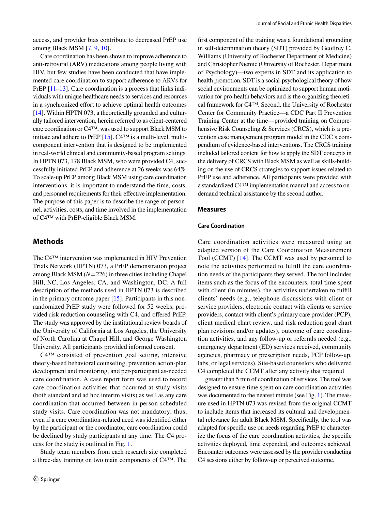access, and provider bias contribute to decreased PrEP use among Black MSM [[7](#page-10-0), [9](#page-10-2), [10](#page-10-3)].

Care coordination has been shown to improve adherence to anti-retroviral (ARV) medications among people living with HIV, but few studies have been conducted that have implemented care coordination to support adherence to ARVs for PrEP [\[11](#page-10-4)[–13\]](#page-10-5). Care coordination is a process that links individuals with unique healthcare needs to services and resources in a synchronized effort to achieve optimal health outcomes [\[14](#page-10-6)]. Within HPTN 073, a theoretically grounded and culturally tailored intervention, herein referred to as client-centered care coordination or C4™, was used to support Black MSM to initiate and adhere to PrEP  $[15]$ . C4<sup>TM</sup> is a multi-level, multicomponent intervention that is designed to be implemented in real-world clinical and community-based program settings. In HPTN 073, 178 Black MSM, who were provided C4, successfully initiated PrEP and adherence at 26 weeks was 64%. To scale-up PrEP among Black MSM using care coordination interventions, it is important to understand the time, costs, and personnel requirements for their effective implementation. The purpose of this paper is to describe the range of personnel, activities, costs, and time involved in the implementation of C4™ with PrEP-eligible Black MSM.

#### **Methods**

The C4™ intervention was implemented in HIV Prevention Trials Network (HPTN) 073, a PrEP demonstration project among Black MSM (*N*=226) in three cities including Chapel Hill, NC, Los Angeles, CA, and Washington, DC. A full description of the methods used in HPTN 073 is described in the primary outcome paper  $[15]$  $[15]$ . Participants in this nonrandomized PrEP study were followed for 52 weeks, provided risk reduction counseling with C4, and ofered PrEP. The study was approved by the institutional review boards of the University of California at Los Angeles, the University of North Carolina at Chapel Hill, and George Washington University. All participants provided informed consent.

C4™ consisted of prevention goal setting, intensive theory-based behavioral counseling, prevention action-plan development and monitoring, and per-participant as-needed care coordination. A case report form was used to record care coordination activities that occurred at study visits (both standard and ad hoc interim visits) as well as any care coordination that occurred between in-person scheduled study visits. Care coordination was not mandatory; thus, even if a care coordination-related need was identifed either by the participant or the coordinator, care coordination could be declined by study participants at any time. The C4 process for the study is outlined in Fig. [1.](#page-4-0)

Study team members from each research site completed a three-day training on two main components of C4™. The

frst component of the training was a foundational grounding in self-determination theory (SDT) provided by Geofrey C. Williams (University of Rochester Department of Medicine) and Christopher Niemic (University of Rochester, Department of Psychology)—two experts in SDT and its application to health promotion. SDT is a social-psychological theory of how social environments can be optimized to support human motivation for pro-health behaviors and is the organizing theoretical framework for C4™. Second, the University of Rochester Center for Community Practice—a CDC Part II Prevention Training Center at the time—provided training on Comprehensive Risk Counseling & Services (CRCS), which is a prevention case management program model in the CDC's compendium of evidence-based interventions. The CRCS training included tailored content for how to apply the SDT concepts in the delivery of CRCS with Black MSM as well as skills-building on the use of CRCS strategies to support issues related to PrEP use and adherence. All participants were provided with a standardized C4™ implementation manual and access to ondemand technical assistance by the second author.

#### **Measures**

#### **Care Coordination**

Care coordination activities were measured using an adapted version of the Care Coordination Measurement Tool (CCMT) [\[14\]](#page-10-6). The CCMT was used by personnel to note the activities performed to fulfll the care coordination needs of the participants they served. The tool includes items such as the focus of the encounters, total time spent with client (in minutes), the activities undertaken to fulfill clients' needs (e.g., telephone discussions with client or service providers, electronic contact with clients or service providers, contact with client's primary care provider (PCP), client medical chart review, and risk reduction goal chart plan revisions and/or updates), outcome of care coordination activities, and any follow-up or referrals needed (e.g., emergency department (ED) services received, community agencies, pharmacy or prescription needs, PCP follow-up, labs, or legal services). Site-based counselors who delivered C4 completed the CCMT after any activity that required

greater than 5 min of coordination of services. The tool was designed to ensure time spent on care coordination activities was documented to the nearest minute (see Fig. [1\)](#page-4-0). The measure used in HPTN 073 was revised from the original CCMT to include items that increased its cultural and developmental relevance for adult Black MSM. Specifcally, the tool was adapted for specifc use on needs regarding PrEP to characterize the focus of the care coordination activities, the specifc activities deployed, time expended, and outcomes achieved. Encounter outcomes were assessed by the provider conducting C4 sessions either by follow-up or perceived outcome.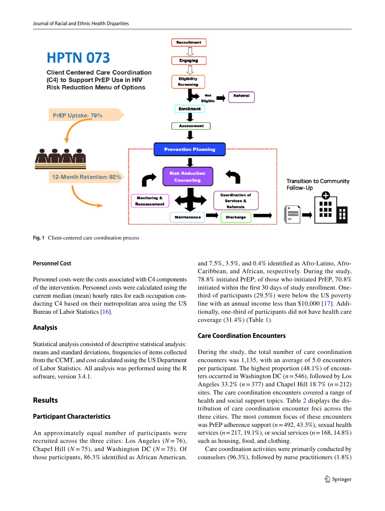

<span id="page-4-0"></span>**Fig. 1** Client-centered care coordination process

#### **Personnel Cost**

Personnel costs were the costs associated with C4 components of the intervention. Personnel costs were calculated using the current median (mean) hourly rates for each occupation conducting C4 based on their metropolitan area using the US Bureau of Labor Statistics [\[16](#page-10-8)].

#### **Analysis**

Statistical analysis consisted of descriptive statistical analysis: means and standard deviations, frequencies of items collected from the CCMT, and cost calculated using the US Department of Labor Statistics. All analysis was performed using the R software, version 3.4.1.

#### **Results**

#### **Participant Characteristics**

An approximately equal number of participants were recruited across the three cities: Los Angeles  $(N = 76)$ , Chapel Hill  $(N=75)$ , and Washington DC  $(N=75)$ . Of those participants, 86.3% identifed as African American, and 7.5%, 3.5%, and 0.4% identifed as Afro-Latino, Afro-Caribbean, and African, respectively. During the study, 78.8% initiated PrEP; of those who initiated PrEP, 70.8% initiated within the frst 30 days of study enrollment. Onethird of participants (29.5%) were below the US poverty line with an annual income less than \$10,000 [[17](#page-10-9)]. Additionally, one-third of participants did not have health care coverage (31.4%) (Table [1\)](#page-5-0).

#### **Care Coordination Encounters**

During the study, the total number of care coordination encounters was 1,135, with an average of 5.0 encounters per participant. The highest proportion (48.1%) of encounters occurred in Washington DC (*n*=546), followed by Los Angeles 33.2% (*n*=377) and Chapel Hill 18.7% (*n*=212) sites. The care coordination encounters covered a range of health and social support topics. Table [2](#page-6-0) displays the distribution of care coordination encounter foci across the three cities. The most common focus of these encounters was PrEP adherence support (*n*=492, 43.3%), sexual health services (*n*=217, 19.1%), or social services (*n*=168, 14.8%) such as housing, food, and clothing.

Care coordination activities were primarily conducted by counselors (96.3%), followed by nurse practitioners (1.8%)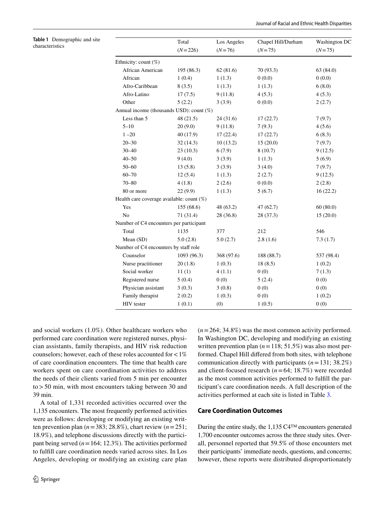Journal of Racial and Ethnic Health Disparities

|                                              | Total       | Los Angeles | Chapel Hill/Durham | Washington DC |
|----------------------------------------------|-------------|-------------|--------------------|---------------|
|                                              | $(N=226)$   | $(N=76)$    | $(N=75)$           | $(N=75)$      |
| Ethnicity: count $(\%)$                      |             |             |                    |               |
| African American                             | 195 (86.3)  | 62(81.6)    | 70 (93.3)          | 63 (84.0)     |
| African                                      | 1(0.4)      | 1(1.3)      | 0(0.0)             | 0(0.0)        |
| Afro-Caribbean                               | 8(3.5)      | 1(1.3)      | 1(1.3)             | 6(8.0)        |
| Afro-Latino                                  | 17(7.5)     | 9(11.8)     | 4(5.3)             | 4(5.3)        |
| Other                                        | 5(2.2)      | 3(3.9)      | 0(0.0)             | 2(2.7)        |
| Annual income (thousands USD): count (%)     |             |             |                    |               |
| Less than 5                                  | 48 (21.5)   | 24(31.6)    | 17(22.7)           | 7(9.7)        |
| $5 - 10$                                     | 20(9.0)     | 9(11.8)     | 7(9.3)             | 4(5.6)        |
| $1 - 20$                                     | 40 (17.9)   | 17(22.4)    | 17(22.7)           | 6(8.3)        |
| $20 - 30$                                    | 32(14.3)    | 10(13.2)    | 15(20.0)           | 7(9.7)        |
| $30 - 40$                                    | 23(10.3)    | 6(7.9)      | 8(10.7)            | 9(12.5)       |
| $40 - 50$                                    | 9(4.0)      | 3(3.9)      | 1(1.3)             | 5(6.9)        |
| $50 - 60$                                    | 13(5.8)     | 3(3.9)      | 3(4.0)             | 7(9.7)        |
| $60 - 70$                                    | 12(5.4)     | 1(1.3)      | 2(2.7)             | 9(12.5)       |
| $70 - 80$                                    | 4(1.8)      | 2(2.6)      | 0(0.0)             | 2(2.8)        |
| 80 or more                                   | 22(9.9)     | 1(1.3)      | 5(6.7)             | 16(22.2)      |
| Health care coverage available: count $(\%)$ |             |             |                    |               |
| Yes                                          | 155 (68.6)  | 48 (63.2)   | 47(62.7)           | 60(80.0)      |
| N <sub>o</sub>                               | 71 (31.4)   | 28 (36.8)   | 28 (37.3)          | 15(20.0)      |
| Number of C4 encounters per participant      |             |             |                    |               |
| Total                                        | 1135        | 377         | 212                | 546           |
| Mean (SD)                                    | 5.0(2.8)    | 5.0(2.7)    | 2.8(1.6)           | 7.3(1.7)      |
| Number of C4 encounters by staff role        |             |             |                    |               |
| Counselor                                    | 1093 (96.3) | 368 (97.6)  | 188 (88.7)         | 537 (98.4)    |
| Nurse practitioner                           | 20(1.8)     | 1(0.3)      | 18(8.5)            | 1(0.2)        |
| Social worker                                | 11(1)       | 4(1.1)      | 0(0)               | 7(1.3)        |
| Registered nurse                             | 5(0.4)      | 0(0)        | 5(2.4)             | 0(0)          |
| Physician assistant                          | 3(0.3)      | 3(0.8)      | 0(0)               | 0(0)          |
| Family therapist                             | 2(0.2)      | 1(0.3)      | 0(0)               | 1(0.2)        |
| HIV tester                                   | 1(0.1)      | (0)         | 1(0.5)             | 0(0)          |

#### <span id="page-5-0"></span>**Table 1** Demographic and site characteristics

and social workers (1.0%). Other healthcare workers who performed care coordination were registered nurses, physician assistants, family therapists, and HIV risk reduction counselors; however, each of these roles accounted for  $\lt 1\%$ of care coordination encounters. The time that health care workers spent on care coordination activities to address the needs of their clients varied from 5 min per encounter to>50 min, with most encounters taking between 30 and 39 min.

A total of 1,331 recorded activities occurred over the 1,135 encounters. The most frequently performed activities were as follows: developing or modifying an existing written prevention plan ( $n=383$ ; 28.8%), chart review ( $n=251$ ; 18.9%), and telephone discussions directly with the participant being served  $(n=164; 12.3\%)$ . The activities performed to fulfll care coordination needs varied across sites. In Los Angeles, developing or modifying an existing care plan (*n*=264; 34.8%) was the most common activity performed. In Washington DC, developing and modifying an existing written prevention plan  $(n=118; 51.5%)$  was also most performed. Chapel Hill difered from both sites, with telephone communication directly with participants (*n*=131; 38.2%) and client-focused research (*n*=64; 18.7%) were recorded as the most common activities performed to fulfll the participant's care coordination needs. A full description of the activities performed at each site is listed in Table [3.](#page-7-0)

#### **Care Coordination Outcomes**

During the entire study, the 1,135 C4™ encounters generated 1,700 encounter outcomes across the three study sites. Overall, personnel reported that 59.5% of those encounters met their participants' immediate needs, questions, and concerns; however, these reports were distributed disproportionately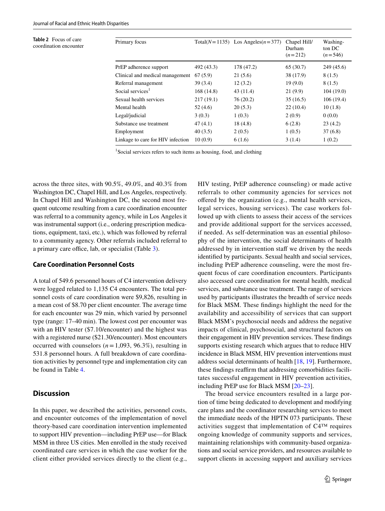<span id="page-6-0"></span>**Table 2** Focus of care coordination encounter

| Primary focus                     |            | Total( $N=1135$ ) Los Angeles( $n=377$ ) | Chapel Hill/<br>Durham<br>$(n=212)$ | Washing-<br>ton DC<br>$(n=546)$ |
|-----------------------------------|------------|------------------------------------------|-------------------------------------|---------------------------------|
| PrEP adherence support            | 492 (43.3) | 178 (47.2)                               | 65(30.7)                            | 249 (45.6)                      |
| Clinical and medical management   | 67(5.9)    | 21(5.6)                                  | 38 (17.9)                           | 8(1.5)                          |
| Referral management               | 39(3.4)    | 12(3.2)                                  | 19(9.0)                             | 8(1.5)                          |
| Social services <sup>1</sup>      | 168 (14.8) | 43(11.4)                                 | 21(9.9)                             | 104(19.0)                       |
| Sexual health services            | 217(19.1)  | 76(20.2)                                 | 35(16.5)                            | 106(19.4)                       |
| Mental health                     | 52(4.6)    | 20(5.3)                                  | 22(10.4)                            | 10(1.8)                         |
| Legal/judicial                    | 3(0.3)     | 1(0.3)                                   | 2(0.9)                              | 0(0.0)                          |
| Substance use treatment           | 47(4.1)    | 18(4.8)                                  | 6(2.8)                              | 23(4.2)                         |
| Employment                        | 40(3.5)    | 2(0.5)                                   | 1(0.5)                              | 37(6.8)                         |
| Linkage to care for HIV infection | 10(0.9)    | 6(1.6)                                   | 3(1.4)                              | 1(0.2)                          |

<sup>1</sup>Social services refers to such items as housing, food, and clothing

across the three sites, with 90.5%, 49.0%, and 40.3% from Washington DC, Chapel Hill, and Los Angeles, respectively. In Chapel Hill and Washington DC, the second most frequent outcome resulting from a care coordination encounter was referral to a community agency, while in Los Angeles it was instrumental support (i.e., ordering prescription medications, equipment, taxi, etc.), which was followed by referral to a community agency. Other referrals included referral to a primary care office, lab, or specialist (Table [3](#page-7-0)).

#### **Care Coordination Personnel Costs**

A total of 549.6 personnel hours of C4 intervention delivery were logged related to 1,135 C4 encounters. The total personnel costs of care coordination were \$9,826, resulting in a mean cost of \$8.70 per client encounter. The average time for each encounter was 29 min, which varied by personnel type (range: 17–40 min). The lowest cost per encounter was with an HIV tester (\$7.10/encounter) and the highest was with a registered nurse (\$21.30/encounter). Most encounters occurred with counselors  $(n=1,093, 96.3\%)$ , resulting in 531.8 personnel hours. A full breakdown of care coordination activities by personnel type and implementation city can be found in Table [4](#page-8-0).

#### **Discussion**

In this paper, we described the activities, personnel costs, and encounter outcomes of the implementation of novel theory-based care coordination intervention implemented to support HIV prevention—including PrEP use—for Black MSM in three US cities. Men enrolled in the study received coordinated care services in which the case worker for the client either provided services directly to the client (e.g., HIV testing, PrEP adherence counseling) or made active referrals to other community agencies for services not offered by the organization (e.g., mental health services, legal services, housing services). The case workers followed up with clients to assess their access of the services and provide additional support for the services accessed, if needed. As self-determination was an essential philosophy of the intervention, the social determinants of health addressed by in intervention staff we driven by the needs identifed by participants. Sexual health and social services, including PrEP adherence counseling, were the most frequent focus of care coordination encounters. Participants also accessed care coordination for mental health, medical services, and substance use treatment. The range of services used by participants illustrates the breadth of service needs for Black MSM. These fndings highlight the need for the availability and accessibility of services that can support Black MSM's psychosocial needs and address the negative impacts of clinical, psychosocial, and structural factors on their engagement in HIV prevention services. These fndings supports existing research which argues that to reduce HIV incidence in Black MSM, HIV prevention interventions must address social determinants of health [[18,](#page-10-10) [19](#page-10-11)]. Furthermore, these findings reaffirm that addressing comorbidities facilitates successful engagement in HIV prevention activities, including PrEP use for Black MSM [[20](#page-10-12)[–23](#page-10-13)].

The broad service encounters resulted in a large portion of time being dedicated to development and modifying care plans and the coordinator researching services to meet the immediate needs of the HPTN 073 participants. These activities suggest that implementation of C4™ requires ongoing knowledge of community supports and services, maintaining relationships with community-based organizations and social service providers, and resources available to support clients in accessing support and auxiliary services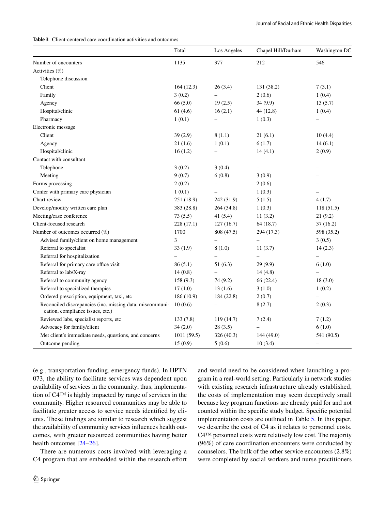<span id="page-7-0"></span>

|  | <b>Table 3</b> Client-centered care coordination activities and outcomes |  |
|--|--------------------------------------------------------------------------|--|
|  |                                                                          |  |

|                                                                                              | Total       | Los Angeles              | Chapel Hill/Durham | Washington DC            |
|----------------------------------------------------------------------------------------------|-------------|--------------------------|--------------------|--------------------------|
| Number of encounters                                                                         | 1135        | 377                      | 212                | 546                      |
| Activities (%)                                                                               |             |                          |                    |                          |
| Telephone discussion                                                                         |             |                          |                    |                          |
| Client                                                                                       | 164(12.3)   | 26(3.4)                  | 131 (38.2)         | 7(3.1)                   |
| Family                                                                                       | 3(0.2)      |                          | 2(0.6)             | 1(0.4)                   |
| Agency                                                                                       | 66(5.0)     | 19(2.5)                  | 34(9.9)            | 13(5.7)                  |
| Hospital/clinic                                                                              | 61(4.6)     | 16(2.1)                  | 44 (12.8)          | 1(0.4)                   |
| Pharmacy                                                                                     | 1(0.1)      |                          | 1(0.3)             |                          |
| Electronic message                                                                           |             |                          |                    |                          |
| Client                                                                                       | 39(2.9)     | 8(1.1)                   | 21(6.1)            | 10(4.4)                  |
| Agency                                                                                       | 21(1.6)     | 1(0.1)                   | 6(1.7)             | 14(6.1)                  |
| Hospital/clinic                                                                              | 16(1.2)     |                          | 14(4.1)            | 2(0.9)                   |
| Contact with consultant                                                                      |             |                          |                    |                          |
| Telephone                                                                                    | 3(0.2)      | 3(0.4)                   |                    |                          |
| Meeting                                                                                      | 9(0.7)      | 6(0.8)                   | 3(0.9)             |                          |
| Forms processing                                                                             | 2(0.2)      |                          | 2(0.6)             |                          |
| Confer with primary care physician                                                           | 1(0.1)      |                          | 1(0.3)             |                          |
| Chart review                                                                                 | 251 (18.9)  | 242 (31.9)               | 5(1.5)             | 4(1.7)                   |
| Develop/modify written care plan                                                             | 383 (28.8)  | 264 (34.8)               | 1(0.3)             | 118(51.5)                |
| Meeting/case conference                                                                      | 73(5.5)     | 41(5.4)                  | 11(3.2)            | 21(9.2)                  |
| Client-focused research                                                                      | 228(17.1)   | 127(16.7)                | 64(18.7)           | 37 (16.2)                |
| Number of outcomes occurred (%)                                                              | 1700        | 808 (47.5)               | 294 (17.3)         | 598 (35.2)               |
| Advised family/client on home management                                                     | 3           | $\overline{\phantom{0}}$ | ÷.                 | 3(0.5)                   |
| Referral to specialist                                                                       | 33(1.9)     | 8(1.0)                   | 11(3.7)            | 14(2.3)                  |
| Referral for hospitalization                                                                 |             |                          |                    |                          |
| Referral for primary care office visit                                                       | 86(5.1)     | 51(6.3)                  | 29(9.9)            | 6(1.0)                   |
| Referral to lab/X-ray                                                                        | 14(0.8)     |                          | 14(4.8)            |                          |
| Referral to community agency                                                                 | 158(9.3)    | 74 (9.2)                 | 66 (22.4)          | 18(3.0)                  |
| Referral to specialized therapies                                                            | 17(1.0)     | 13(1.6)                  | 3(1.0)             | 1(0.2)                   |
| Ordered prescription, equipment, taxi, etc                                                   | 186 (10.9)  | 184 (22.8)               | 2(0.7)             |                          |
| Reconciled discrepancies (inc. missing data, miscommuni-<br>cation, compliance issues, etc.) | 10(0.6)     |                          | 8(2.7)             | 2(0.3)                   |
| Reviewed labs, specialist reports, etc                                                       | 133(7.8)    | 119 (14.7)               | 7(2.4)             | 7(1.2)                   |
| Advocacy for family/client                                                                   | 34(2.0)     | 28(3.5)                  |                    | 6(1.0)                   |
| Met client's immediate needs, questions, and concerns                                        | 1011 (59.5) | 326 (40.3)               | 144 (49.0)         | 541 (90.5)               |
| Outcome pending                                                                              | 15(0.9)     | 5(0.6)                   | 10(3.4)            | $\overline{\phantom{0}}$ |

(e.g., transportation funding, emergency funds). In HPTN 073, the ability to facilitate services was dependent upon availability of services in the community; thus, implementation of C4™ is highly impacted by range of services in the community. Higher resourced communities may be able to facilitate greater access to service needs identifed by clients. These fndings are similar to research which suggest the availability of community services infuences health outcomes, with greater resourced communities having better health outcomes [[24–](#page-10-14)[26](#page-10-15)].

There are numerous costs involved with leveraging a C4 program that are embedded within the research effort and would need to be considered when launching a program in a real-world setting. Particularly in network studies with existing research infrastructure already established, the costs of implementation may seem deceptively small because key program functions are already paid for and not counted within the specifc study budget. Specifc potential implementation costs are outlined in Table [5](#page-8-1). In this paper, we describe the cost of C4 as it relates to personnel costs. C4™ personnel costs were relatively low cost. The majority (96%) of care coordination encounters were conducted by counselors. The bulk of the other service encounters (2.8%) were completed by social workers and nurse practitioners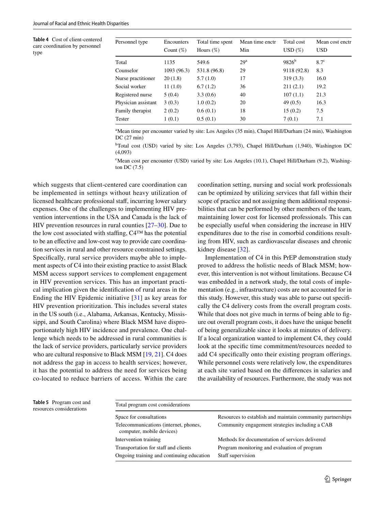<span id="page-8-0"></span>**Table 4** Cost of client-centered care coordination by personnel type

| Personnel type      | Encounters<br>Count $(\%)$ | Total time spent<br>Hours $(\%)$ | Mean time enctr<br>Min | Total cost<br>USD(%) | Mean cost enctr<br><b>USD</b> |
|---------------------|----------------------------|----------------------------------|------------------------|----------------------|-------------------------------|
| Total               | 1135                       | 549.6                            | 29 <sup>a</sup>        | $9826^b$             | $8.7^\circ$                   |
| Counselor           | 1093 (96.3)                | 531.8 (96.8)                     | 29                     | 9118 (92.8)          | 8.3                           |
| Nurse practitioner  | 20(1.8)                    | 5.7(1.0)                         | 17                     | 319(3.3)             | 16.0                          |
| Social worker       | 11(1.0)                    | 6.7(1.2)                         | 36                     | 211(2.1)             | 19.2                          |
| Registered nurse    | 5(0.4)                     | 3.3(0.6)                         | 40                     | 107(1.1)             | 21.3                          |
| Physician assistant | 3(0.3)                     | 1.0(0.2)                         | 20                     | 49(0.5)              | 16.3                          |
| Family therapist    | 2(0.2)                     | 0.6(0.1)                         | 18                     | 15(0.2)              | 7.5                           |
| <b>Tester</b>       | 1(0.1)                     | 0.5(0.1)                         | 30                     | 7(0.1)               | 7.1                           |

a Mean time per encounter varied by site: Los Angeles (35 min), Chapel Hill/Durham (24 min), Washington DC (27 min)

b Total cost (USD) varied by site: Los Angeles (3,793), Chapel Hill/Durham (1,940), Washington DC (4,093)

c Mean cost per encounter (USD) varied by site: Los Angeles (10.1), Chapel Hill/Durham (9.2), Washington DC (7.5)

which suggests that client-centered care coordination can be implemented in settings without heavy utilization of licensed healthcare professional staff, incurring lower salary expenses. One of the challenges to implementing HIV prevention interventions in the USA and Canada is the lack of HIV prevention resources in rural counties [[27–](#page-10-16)[30\]](#page-10-17). Due to the low cost associated with staffing,  $C4^{TM}$  has the potential to be an efective and low-cost way to provide care coordination services in rural and other resource constrained settings. Specifcally, rural service providers maybe able to implement aspects of C4 into their existing practice to assist Black MSM access support services to complement engagement in HIV prevention services. This has an important practical implication given the identifcation of rural areas in the Ending the HIV Epidemic initiative [[31](#page-10-18)] as key areas for HIV prevention prioritization. This includes several states in the US south (i.e., Alabama, Arkansas, Kentucky, Mississippi, and South Carolina) where Black MSM have disproportionately high HIV incidence and prevalence. One challenge which needs to be addressed in rural communities is the lack of service providers, particularly service providers who are cultural responsive to Black MSM [[19,](#page-10-11) [21](#page-10-19)]. C4 does not address the gap in access to health services; however, it has the potential to address the need for services being co-located to reduce barriers of access. Within the care

coordination setting, nursing and social work professionals can be optimized by utilizing services that fall within their scope of practice and not assigning them additional responsibilities that can be performed by other members of the team, maintaining lower cost for licensed professionals. This can be especially useful when considering the increase in HIV expenditures due to the rise in comorbid conditions resulting from HIV, such as cardiovascular diseases and chronic kidney disease [[32](#page-10-20)].

Implementation of C4 in this PrEP demonstration study proved to address the holistic needs of Black MSM; however, this intervention is not without limitations. Because C4 was embedded in a network study, the total costs of implementation (e.g., infrastructure) costs are not accounted for in this study. However, this study was able to parse out specifcally the C4 delivery costs from the overall program costs. While that does not give much in terms of being able to fgure out overall program costs, it does have the unique beneft of being generalizable since it looks at minutes of delivery. If a local organization wanted to implement C4, they could look at the specifc time commitment/resources needed to add C4 specifcally onto their existing program oferings. While personnel costs were relatively low, the expenditures at each site varied based on the diferences in salaries and the availability of resources. Furthermore, the study was not

<span id="page-8-1"></span>

| <b>Table 5</b> Program cost and<br>resources considerations | Total program cost considerations                                  |                                                            |  |  |
|-------------------------------------------------------------|--------------------------------------------------------------------|------------------------------------------------------------|--|--|
|                                                             | Space for consultations                                            | Resources to establish and maintain community partnerships |  |  |
|                                                             | Telecommunications (internet, phones,<br>computer, mobile devices) | Community engagement strategies including a CAB            |  |  |
|                                                             | Intervention training                                              | Methods for documentation of services delivered            |  |  |
|                                                             | Transportation for staff and clients                               | Program monitoring and evaluation of program               |  |  |
|                                                             | Ongoing training and continuing education                          | Staff supervision                                          |  |  |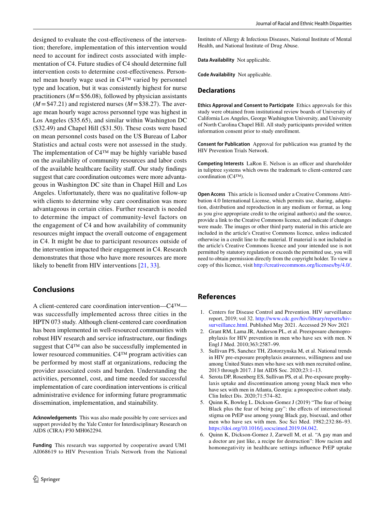designed to evaluate the cost-efectiveness of the intervention; therefore, implementation of this intervention would need to account for indirect costs associated with implementation of C4. Future studies of C4 should determine full intervention costs to determine cost-efectiveness. Personnel mean hourly wage used in C4™ varied by personnel type and location, but it was consistently highest for nurse practitioners  $(M = $56.08)$ , followed by physician assistants  $(M = $47.21)$  and registered nurses  $(M = $38.27)$ . The average mean hourly wage across personnel type was highest in Los Angeles (\$35.65), and similar within Washington DC (\$32.49) and Chapel Hill (\$31.50). These costs were based on mean personnel costs based on the US Bureau of Labor Statistics and actual costs were not assessed in the study. The implementation of C4™ may be highly variable based on the availability of community resources and labor costs of the available healthcare facility staf. Our study fndings suggest that care coordination outcomes were more advantageous in Washington DC site than in Chapel Hill and Los Angeles. Unfortunately, there was no qualitative follow-up with clients to determine why care coordination was more advantageous in certain cities. Further research is needed to determine the impact of community-level factors on the engagement of C4 and how availability of community resources might impact the overall outcome of engagement in C4. It might be due to participant resources outside of the intervention impacted their engagement in C4. Research demonstrates that those who have more resources are more likely to benefit from HIV interventions [\[21,](#page-10-19) [33\]](#page-10-21).

## **Conclusions**

A client-centered care coordination intervention—C4™ was successfully implemented across three cities in the HPTN 073 study. Although client-centered care coordination has been implemented in well-resourced communities with robust HIV research and service infrastructure, our fndings suggest that C4™ can also be successfully implemented in lower resourced communities. C4™ program activities can be performed by most staff at organizations, reducing the provider associated costs and burden. Understanding the activities, personnel, cost, and time needed for successful implementation of care coordination interventions is critical administrative evidence for informing future programmatic dissemination, implementation, and stainability.

**Acknowledgements** This was also made possible by core services and support provided by the Yale Center for Interdisciplinary Research on AIDS (CIRA) P30 MH062294.

**Funding** This research was supported by cooperative award UM1 AI068619 to HIV Prevention Trials Network from the National

Institute of Allergy & Infectious Diseases, National Institute of Mental Health, and National Institute of Drug Abuse.

**Data Availability** Not applicable.

**Code Availability** Not applicable.

#### **Declarations**

**Ethics Approval and Consent to Participate** Ethics approvals for this study were obtained from institutional review boards of University of California Los Angeles, George Washington University, and University of North Carolina Chapel Hill. All study participants provided written information consent prior to study enrollment.

**Consent for Publication** Approval for publication was granted by the HIV Prevention Trials Network.

**Competing Interests** LaRon E. Nelson is an officer and shareholder in tuliptree systems which owns the trademark to client-centered care coordination (C4™).

**Open Access** This article is licensed under a Creative Commons Attribution 4.0 International License, which permits use, sharing, adaptation, distribution and reproduction in any medium or format, as long as you give appropriate credit to the original author(s) and the source, provide a link to the Creative Commons licence, and indicate if changes were made. The images or other third party material in this article are included in the article's Creative Commons licence, unless indicated otherwise in a credit line to the material. If material is not included in the article's Creative Commons licence and your intended use is not permitted by statutory regulation or exceeds the permitted use, you will need to obtain permission directly from the copyright holder. To view a copy of this licence, visit<http://creativecommons.org/licenses/by/4.0/>.

## **References**

- <span id="page-9-0"></span>1. Centers for Disease Control and Prevention. HIV surveillance report, 2019; vol 32. [http://www.cdc.gov/hiv/library/reports/hiv](http://www.cdc.gov/hiv/library/reports/hiv-surveillance.html)[surveillance.html.](http://www.cdc.gov/hiv/library/reports/hiv-surveillance.html) Published May 2021. Accessed 29 Nov 2021
- <span id="page-9-1"></span>2. Grant RM, Lama JR, Anderson PL, et al. Preexposure chemoprophylaxis for HIV prevention in men who have sex with men. N Engl J Med. 2010;363:2587–99.
- <span id="page-9-2"></span>3. Sullivan PS, Sanchez TH, Zlotorzynska M, et al. National trends in HIV pre-exposure prophylaxis awareness, willingness and use among United States men who have sex with men recruited online, 2013 through 2017. J Int AIDS Soc. 2020;23:1–13.
- <span id="page-9-3"></span>4. Serota DP, Rosenberg ES, Sullivan PS, et al. Pre-exposure prophylaxis uptake and discontinuation among young black men who have sex with men in Atlanta, Georgia: a prospective cohort study. Clin Infect Dis. 2020;71:574–82.
- <span id="page-9-4"></span>5. Quinn K, Bowleg L. Dickson-Gomez J (2019) "The fear of being Black plus the fear of being gay": the effects of intersectional stigma on PrEP use among young Black gay, bisexual, and other men who have sex with men. Soc Sci Med. 1982;232:86–93. [https://doi.org/10.1016/j.socscimed.2019.04.042.](https://doi.org/10.1016/j.socscimed.2019.04.042)
- 6. Quinn K, Dickson-Gomez J, Zarwell M, et al. "A gay man and a doctor are just like, a recipe for destruction": How racism and homonegativity in healthcare settings infuence PrEP uptake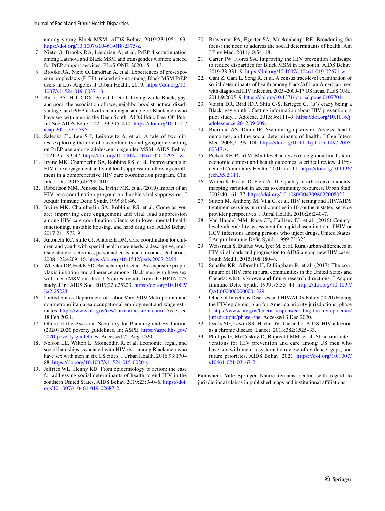among young Black MSM. AIDS Behav. 2019;23:1951–63. <https://doi.org/10.1007/s10461-018-2375-z>.

- <span id="page-10-0"></span>7. Nieto O, Brooks RA, Landrian A, et al. PrEP discontinuation among Latino/a and Black MSM and transgender women: a need for PrEP support services. PLoS ONE. 2020;15:1–13.
- <span id="page-10-1"></span>8. Brooks RA, Nieto O, Landrian A, et al. Experiences of pre-exposure prophylaxis (PrEP)–related stigma among Black MSM PrEP users in Los Angeles. J Urban Health. 2019. [https://doi.org/10.](https://doi.org/10.1007/s11524-019-00371-3) [1007/s11524-019-00371-3.](https://doi.org/10.1007/s11524-019-00371-3)
- <span id="page-10-2"></span>9. Burns PA, Hall CDX, Poteat T, et al. Living while Black, gay, and poor: the association of race, neighborhood structural disadvantage, and PrEP utilization among a sample of Black men who have sex with men in the Deep South. AIDS Educ Prev Off Publ Int Soc AIDS Educ. 2021;33:395–410. [https://doi.org/10.1521/](https://doi.org/10.1521/aeap.2021.33.5.395) [aeap.2021.33.5.395](https://doi.org/10.1521/aeap.2021.33.5.395).
- <span id="page-10-3"></span>10. Saleska JL, Lee S-J, Leibowitz A, et al. A tale of two cities: exploring the role of race/ethnicity and geographic setting on PrEP use among adolescent cisgender MSM. AIDS Behav. 2021;25:139–47. <https://doi.org/10.1007/s10461-020-02951-w>.
- <span id="page-10-4"></span>11. Irvine MK, Chamberlin SA, Robbins RS, et al. Improvements in HIV care engagement and viral load suppression following enrollment in a comprehensive HIV care coordination program. Clin Infect Dis. 2015;60:298–310.
- 12. Robertson MM, Penrose K, Irvine MK, et al. (2019) Impact of an HIV care coordination program on durable viral suppression. J Acquir Immune Defic Syndr. 1999;80:46.
- <span id="page-10-5"></span>13. Irvine MK, Chamberlin SA, Robbins RS, et al. Come as you are: improving care engagement and viral load suppression among HIV care coordination clients with lower mental health functioning, unstable housing, and hard drug use. AIDS Behav. 2017;21:1572–9.
- <span id="page-10-6"></span>14. Antonelli RC, Stille CJ, Antonelli DM. Care coordination for children and youth with special health care needs: a descriptive, multisite study of activities, personnel costs, and outcomes. Pediatrics. 2008;122:e209–16. [https://doi.org/10.1542/peds.2007-2254.](https://doi.org/10.1542/peds.2007-2254)
- <span id="page-10-7"></span>15. Wheeler DP, Fields SD, Beauchamp G, et al. Pre-exposure prophylaxis initiation and adherence among Black men who have sex with men (MSM) in three US cities: results from the HPTN 073 study. J Int AIDS Soc. 2019;22:e25223. [https://doi.org/10.1002/](https://doi.org/10.1002/jia2.25223) [jia2.25223.](https://doi.org/10.1002/jia2.25223)
- <span id="page-10-8"></span>16. United States Department of Labor May 2019 Metropolitan and nonmetropolitan area occupational employment and wage estimates. <https://www.bls.gov/oes/current/oessrcma.htm>. Accessed 18 Feb 2021.
- <span id="page-10-9"></span>17. Office of the Assistant Secretary for Planning and Evaluation (2020) 2020 poverty guidelines. In: ASPE. [https://aspe.hhs.gov/](https://aspe.hhs.gov/2020-poverty-guidelines) [2020-poverty-guidelines](https://aspe.hhs.gov/2020-poverty-guidelines). Accessed 22 Aug 2020.
- <span id="page-10-10"></span>18. Nelson LE, Wilton L, Moineddin R, et al. Economic, legal, and social hardships associated with HIV risk among Black men who have sex with men in six US cities. J Urban Health. 2016;93:170– 88. <https://doi.org/10.1007/s11524-015-0020-y>.
- <span id="page-10-11"></span>19. Jefries WL, Henny KD. From epidemiology to action: the case for addressing social determinants of health to end HIV in the southern United States. AIDS Behav. 2019;23:340–6. [https://doi.](https://doi.org/10.1007/s10461-019-02687-2) [org/10.1007/s10461-019-02687-2](https://doi.org/10.1007/s10461-019-02687-2).
- <span id="page-10-12"></span>20. Braveman PA, Egerter SA, Mockenhaupt RE. Broadening the focus: the need to address the social determinants of health. Am J Prev Med. 2011;40:S4–18.
- <span id="page-10-19"></span>21. Carter JW, Flores SA. Improving the HIV prevention landscape to reduce disparities for Black MSM in the south. AIDS Behav. 2019;23:331–9. [https://doi.org/10.1007/s10461-019-02671-w.](https://doi.org/10.1007/s10461-019-02671-w)
- 22. Gant Z, Gant L, Song R, et al. A census tract-level examination of social determinants of health among black/African American men with diagnosed HIV infection, 2005–2009-17 US areas. PLoS ONE. 2014;9:2005–9. [https://doi.org/10.1371/journal.pone.0107701.](https://doi.org/10.1371/journal.pone.0107701)
- <span id="page-10-13"></span>23. Voisin DR, Bird JDP, Shiu C-S, Krieger C. "It's crazy being a Black, gay youth". Getting information about HIV prevention: a pilot study. J Adolesc. 2013;36:111–9. [https://doi.org/10.1016/j.](https://doi.org/10.1016/j.adolescence.2012.09.009) [adolescence.2012.09.009.](https://doi.org/10.1016/j.adolescence.2012.09.009)
- <span id="page-10-14"></span>24. Bierman AS, Dunn JR. Swimming upstream. Access, health outcomes, and the social determinants of health. J Gen Intern Med. 2006;21:99–100. [https://doi.org/10.1111/j.1525-1497.2005.](https://doi.org/10.1111/j.1525-1497.2005.00317.x) [00317.x](https://doi.org/10.1111/j.1525-1497.2005.00317.x).
- 25. Pickett KE, Pearl M. Multilevel analyses of neighbourhood socioeconomic context and health outcomes: a critical review. J Epidemiol Community Health. 2001;55:111. [https://doi.org/10.1136/](https://doi.org/10.1136/jech.55.2.111) [jech.55.2.111.](https://doi.org/10.1136/jech.55.2.111)
- <span id="page-10-15"></span>26. Witten K, Exeter D, Field A. The quality of urban environments: mapping variation in access to community resources. Urban Stud. 2003;40:161–77. [https://doi.org/10.1080/00420980220080221.](https://doi.org/10.1080/00420980220080221)
- <span id="page-10-16"></span>27. Sutton M, Anthony M, Vila C, et al. HIV testing and HIV/AIDS treatment services in rural counties in 10 southern states: service provider perspectives. J Rural Health. 2010;26:240–7.
- 28. Van Handel MM, Rose CE, Hallisey EJ, et al. (2016) Countylevel vulnerability assessment for rapid dissemination of HIV or HCV infections among persons who inject drugs, United States. J Acquir Immune Defc Syndr. 1999;73:323.
- 29. Weissman S, Dufus WA, Iyer M, et al. Rural-urban diferences in HIV viral loads and progression to AIDS among new HIV cases. South Med J. 2015;108:180–8.
- <span id="page-10-17"></span>30. Schafer KR, Albrecht H, Dillingham R, et al. (2017) The continuum of HIV care in rural communities in the United States and Canada: what is known and future research directions. J Acquir Immune Defc Syndr. 1999;75:35–44. [https://doi.org/10.1097/](https://doi.org/10.1097/QAI.0000000000001329) [QAI.0000000000001329](https://doi.org/10.1097/QAI.0000000000001329).
- <span id="page-10-18"></span>31. Office of Infectious Diseases and HIV/AIDS Policy (2020) Ending the HIV epidemic: plan for America priority jurisdictions: phase I. [https://www.hiv.gov/federal-response/ending-the-hiv-epidemic/](https://www.hiv.gov/federal-response/ending-the-hiv-epidemic/jurisdictions/phase-one) [jurisdictions/phase-one](https://www.hiv.gov/federal-response/ending-the-hiv-epidemic/jurisdictions/phase-one). Accessed 3 Dec 2020.
- <span id="page-10-20"></span>32. Deeks SG, Lewin SR, Havlir DV. The end of AIDS: HIV infection as a chronic disease. Lancet. 2013;382:1525–33.
- <span id="page-10-21"></span>33. Phillips G, McCuskey D, Ruprecht MM, et al. Structural interventions for HIV prevention and care among US men who have sex with men: a systematic review of evidence, gaps, and future priorities. AIDS Behav. 2021. [https://doi.org/10.1007/](https://doi.org/10.1007/s10461-021-03167-2) [s10461-021-03167-2](https://doi.org/10.1007/s10461-021-03167-2).

**Publisher's Note** Springer Nature remains neutral with regard to jurisdictional claims in published maps and institutional afliations.